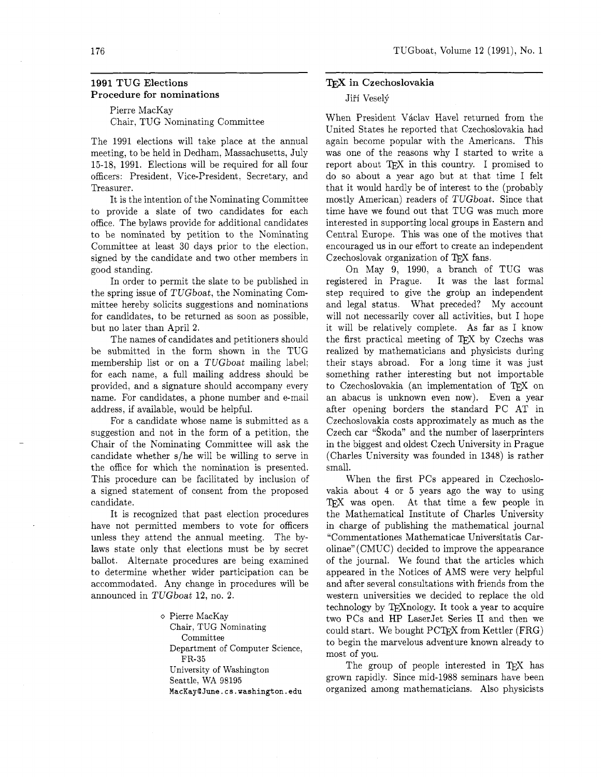# **1991 TUG Elections Procedure for nominations**

Pierre MacKay Chair, TUG Nominating Committee

The 1991 elections will take place at the annual meeting, to be held in Dedham, Massachusetts, July 15-18, 1991. Elections will be required for all four officers: President. Vice-president, Secretary, and Treasurer.

It is the intention of the Nominating Committee to provide a slate of two candidates for each office. The bylaws provide for additional candidates to be nominated by petition to the Nominating Committee at least 30 days prior to the election, signed by the candidate and two other members in good standing.

In order to permit the slate to be published in the spring issue of TUGboat, the Nominating Committee hereby solicits suggestions and nominations for candidates, to be returned as soon as possible, but no later than April 2.

The names of candidates and petitioners should be submitted in the form shown in the TUG membership list or on a TUGboat mailing label; for each name, a full mailing address should be provided, and a signature should accompany every name. For candidates, a phone number and e-mail address, if available, would be helpful.

For a candidate whose name is submitted as a suggestion and not in the form of a petition, the Chair of the Nominating Committee will ask the candidate whether s/he will be willing to serve in the office for which the nomination is presented. This procedure can be facilitated by inclusion of a signed statement of consent from the proposed candidate.

It is recognized that past election procedures have not permitted members to vote for officers unless they attend the annual meeting. The bylaws state only that elections must be by secret ballot. Alternate procedures are being examined to determine whether wider participation can be accommodated. Any change in procedures will be announced in TUGboat 12, no. 2.

> o Pierre MacKay Chair, TUG Nominating Committee Department of Computer Science, FR-35 University of Washington Seattle, WA 98195 **MacKaylJune.cs.washington.edu**

## ${\rm Tr}{\rm X}$  in Czechoslovakia

## Jiří Veselý

When President Václav Havel returned from the United States he reported that Czechoslovakia had again become popular with the Americans. This was one of the reasons why I started to write a report about TEX in this country. I promised to do so about a year ago but at that time I felt that it would hardly be of interest to the (probably mostly American) readers of TUGboat. Since that time have we found out that TUG was much more interested in supporting local groups in Eastern and Central Europe. This was one of the motives that encouraged us in our effort to create an independent Czechoslovak organization of TEX fans.

On May 9, 1990, a branch of TUG was registered in Prague. It was the last formal step required to give the group an independent and legal status. What preceded? My account will not necessarily cover all activities, but I hope it will be relatively complete. As far as I know the first practical meeting of TFX by Czechs was realized by mathematicians and physicists during their stays abroad. For a long time it was just something rather interesting but not importable to Czechoslovakia (an implementation of TFX on an abacus is unknown even now). Even a year after opening borders the standard PC AT in Czechoslovakia costs approximately as much as the Czech car "Skoda" and the number of laserprinters in the biggest and oldest Czech University in Prague (Charles University was founded in 1348) is rather small.

When the first PCs appeared in Czechoslovakia about 4 or 5 years ago the way to using TEX was open. At that time a few people in the Mathematical Institute of Charles University in charge of publishing the mathematical journal "Commentationes Mathematicae Universitatis Carolinae" (CMUC) decided to improve the appearance of the journal. We found that the articles which appeared in the Notices of AMS were very helpful and after several consultations with friends from the western universities we decided to replace the old technology by TFXnology. It took a year to acquire two PCs and HP LaserJet Series I1 and then we could start. We bought PCT<sub>E</sub>X from Kettler (FRG) to begin the marvelous adventure known already to most of you.

The group of people interested in TFX has grown rapidly. Since mid-1988 seminars have been organized among mathematicians. Also physicists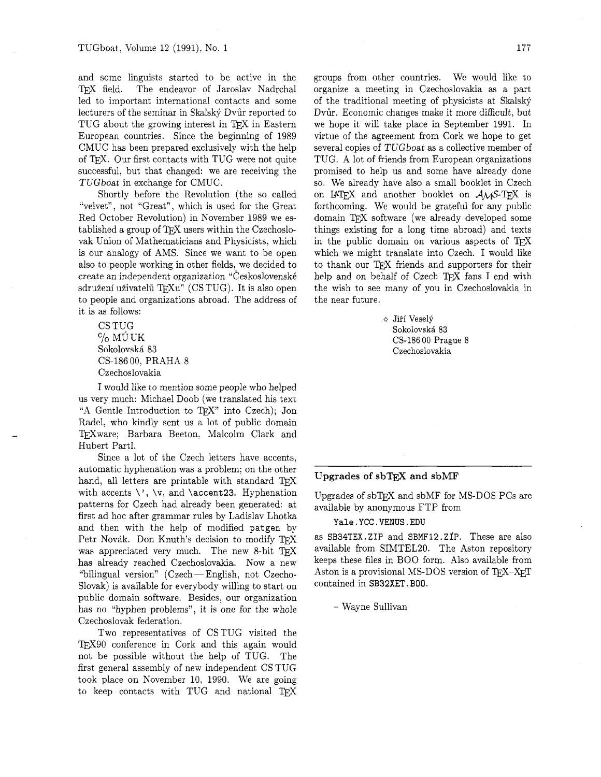and some linguists started to be active in the TFX field. The endeavor of Jaroslav Nadrchal led to important international contacts and some lecturers of the seminar in Skalský Dvůr reported to TUG about the growing interest in TFX in Eastern European countries. Since the beginning of 1989 CMUC has been prepared exclusively with the help of TEX. Our first contacts with TUG were not quite successful, but that changed: we are receiving the TUGboat in exchange for CMUC.

Shortly before the Revolution (the so called "velvet", not "Great", which is used for the Great Red October Revolution) in November 1989 we established a group of TFX users within the Czechoslovak Union of Mathematicians and Physicists, which is our analogy of AMS. Since we want to be open also to people working in other fields, we decided to create an independent organization "Československé sdružení uživatelů TFXu" (CS TUG). It is also open to people and organizations abroad. The address of it is as follows:

CS TUG  $\%$  MÚ UK Sokolovska 83 CS-186 00, PRAHA 8 Czechoslovakia

I would like to mention some people who helped us very much: Michael Doob (we translated his text "A Gentle Introduction to TEX" into Czech); Jon Radel, who kindly sent us a lot of public domain TEXware; Barbara Beeton, Malcolm Clark and Hubert Partl.

Since a lot of the Czech letters have accents, automatic hyphenation was a problem; on the other hand, all letters are printable with standard  $T\not\!\!E X$ with accents  $\vee$ ,  $\vee$ , and  $\accent23$ . Hyphenation patterns for Czech had already been generated: at first ad hoc after grammar rules by Ladislav Lhotka and then with the help of modified patgen by Petr Novák. Don Knuth's decision to modify TFX was appreciated very much. The new 8-bit TFX has already reached Czechoslovakia. Now a new "bilingual version"  $(Czech - English, not Czech-$ Slovak) is available for everybody willing to start on public domain software. Besides, our organization has no "hyphen problems", it is one for the whole Czechoslovak federation.

Two representatives of CSTUG visited the TFX90 conference in Cork and this again would not be possible without the help of TUG. The first general assembly of new independent CS TUG took place on November 10. 1990. We are going to keep contacts with TUG and national

groups from other countries. We would like to organize a meeting in Czechoslovakia as a part of the traditional meeting of physicists at Skalský Dvůr. Economic changes make it more difficult, but we hope it will take place in September 1991. In virtue of the agreement from Cork we hope to get several copies of TUGboat as a collective member of TUG. A lot of friends from European organizations promised to help us and some have already done so. We already have also a small booklet in Czech on IATEX and another booklet on  $A_{\mathcal{M}}S$ -TEX is forthcoming. We would be grateful for any public domain *QX* software (we already developed some things existing for a long time abroad) and texts in the public domain on various aspects of  $TFX$ which we might translate into Czech. I would like to thank our TFX friends and supporters for their help and on behalf of Czech TFX fans I end with the wish to see many of you in Czechoslovakia in the near future.

> o Jifi Veselji Sokolovsk6 83 CS-186 00 Prague 8 Czechoslovakia

# Upgrades of  $s$ bT $\overline{r}X$  and  $s$ bMF

Upgrades of  $s$ bT $FX$  and  $s$ bMF for MS-DOS PCs are available by anonymous FTP from

### Yale.YCC.VENUS.EDU

as SB34TEX.ZIP and SBMF12 .ZIP. These are also available from SIMTEL20. The Aston repository keeps these files in BOO form. Also available from Aston is a provisional MS-DOS version of  $T_{F}X-X_{F}T$ contained in SB32XET. BOO.

- Wayne Sullivan